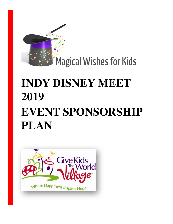

# **INDY DISNEY MEET 2019 EVENT SPONSORSHIP PLAN**

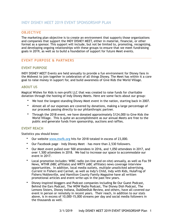#### **OBJECTIVE**

The marketing plan objective is to create an environment that supports those organizations and companies that support the INDY DISNEY MEET, either in material, financial, or other format as a sponsor. This support will include, but not be limited to, promoting, recognizing, and developing ongoing relationships with these groups to ensure that we meet fundraising goals in 2019, as well as to build a foundation of support for future Meet events.

#### **EVENT PURPOSE & PARTNERS**

#### **EVENT PURPOSE**

INDY DISNEY MEET Events are held annually to provide a fun environment for Disney fans in the Midwest to join together in celebration of all things Disney. The Meet has within it a core goal to raise money in support for, and build awareness of Give Kids the World Village.

#### **ABOUT US**

Magical Wishes for Kids is non-profit LLC that was created to raise funds for charitable donation through the hosting of Indy Disney Meets. Here are some facts about our group:

- We host the longest-standing Disney Meet event in the nation, starting back in 2007.
- Almost all of our expenses are covered by donations, making a large percentage of our proceeds passing directly to our philanthropic partner.
- Through the 2018 event, we have donated approximately \$124,000 to Give Kids the World Village. This is quite an accomplishment as our annual Meets are free to the public and generate funds from sponsorship, auctions and raffles.

#### **EVENT REACH**

Statistics you should know:

- Our website [www.mwfk.org](http://www.mwfk.org) hits for 2018 totaled in excess of 23,000.
- Our Facebook page Indy Disney Meet has more than 2,530 followers.
- Our Meet event pulled over 500 attendees in 2016, and 1,050 attendees in 2017, and over 1,500 attendees in 2018. We had to increase our space to accommodate our event in 2017.
- Local promotion includes: WIBC radio (on-line and on-site) annually, as well as Fox 59 News, WTHR (NBC affiliate) and WRTV (ABC affiliate) news coverage interview opportunities. In addition, local media outlets, multiple unsolicited advertising. *Current* in Fishers and Carmel, as well as Indy's Child, Indy with Kids, HulaFrog of Fishers/Noblesville, and Hamilton County Family Magazine have all written promotional articles and event write-ups in the past few years.
- Disney-inspired bloggers and Podcast companies including Be Our Guest Podcast, Behind the Ears Podcast, The WDW Radio Podcast, The Disney Dish Podcast, The Lemons Sisters, Disney Indiana, DubDeeDub Review, and others, have all covered our event in person or remotely in recent years. Their reach, in addition to our stats above, is in excess of 10,000-15,000 streams per day and social media followers in the thousands as well.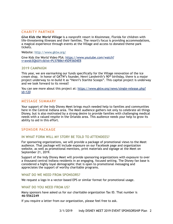#### **CHARITY PARTNER**

*Give Kids the World Village* is a nonprofit resort in Kissimmee, Florida for children with life-threatening illnesses and their families. The resort's focus is providing accommodations, a magical experience through events at the Village and access to donated theme park tickets.

Website:<http://www.gktw.org/>

[Give Kids the World Video PSA: https://www.youtube.com/watch?](https://www.youtube.com/watch?v=awsb3QbUI1c&list=PL57BB6145D93604EB) v=awsb3QbUI1c&list=PL57BB6145D93604EB

#### **2019 CAMPAIGN**

This year, we are earmarking our funds specifically for the Village renovation of the ice cream shop. In honor of GKTW's founder, Henri Landwirth's  $90<sup>th</sup>$  birthday, there is a major project underway to re-build it as "Henri's Starlite Scoops". This capital project is underway and we look forward to its reveal!

You can see more about this project at: [https://www.gktw.org/news/single-release.php?](https://www.gktw.org/news/single-release.php?id=120) id=120

#### **MESSAGE SUMMARY**

Your support of the Indy Disney Meet brings much needed help to families and communities here in the Central Indiana area. The Meet audience gathers not only to celebrate all things Disney, but is also motivated by a strong desire to provide families with challenging medical needs with a valued respite in the Orlando area. This audience needs your help to grow its ability to aid in this effort.

#### **SPONSOR PACKAGE**

#### **IN WHAT FORM WILL MY STORY BE TOLD TO ATTENDEES?**

For sponsoring organizations, we will provide a package of promotional views to the Meet audience. That package will include exposure on our Facebook page and organization website, as well as promotional mentions, print materials and signage at the Meet on September 21, 2019.

Support of the Indy Disney Meet will provide sponsoring organizations with exposure to over a thousand central Indiana residents in an engaging, focused setting. The Disney fan base is considered a highly loyal demographic that is open to promotional messaging and appreciates the support of worthy charitable programs.

#### **WHAT DO WE NEED FROM SPONSORS?**

We request a logo in a vector-based EPS or similar format for promotional usage.

#### **WHAT DO YOU NEED FROM US?**

Many sponsors have asked us for our charitable organization Tax ID. That number is **46-5562249** 

If you require a letter from our organization, please feel free to ask.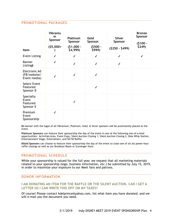#### **PROMOTIONAL PACKAGES**

| Item                                                 | Vibraniu<br>m<br>Sponsor<br>$(55,000+$ | Platinum<br><b>Sponsor</b><br>$(51,000 -$<br>\$4,999 | Gold<br>Sponsor<br>$(5500 -$<br>\$999) | <b>Silver</b><br>Sponsor<br>$($250 - $499)$ | <b>Bronze</b><br>Sponsor<br>$(5100 -$<br>\$249) |
|------------------------------------------------------|----------------------------------------|------------------------------------------------------|----------------------------------------|---------------------------------------------|-------------------------------------------------|
| <b>Event Listing</b>                                 | $\checkmark$                           | $\checkmark$                                         | $\checkmark$                           | $\checkmark$                                | $\checkmark$                                    |
| <b>Banner</b><br>Listing#                            | $\checkmark$                           | $\checkmark$                                         | $\checkmark$                           | ✓                                           |                                                 |
| Electronic Ad<br>(FB/website/<br>Event media)        | $\checkmark$                           | $\checkmark$                                         | $\checkmark$                           |                                             |                                                 |
| <b>Select Event</b><br>Featured<br>Sponsor B         |                                        |                                                      | $\checkmark$                           |                                             |                                                 |
| Specialty<br>Event<br>Featured<br>Sponsor $\epsilon$ |                                        | √                                                    |                                        |                                             |                                                 |
| Premium<br>Event<br>Sponsorship                      | $\checkmark$                           |                                                      |                                        |                                             |                                                 |

**‡**A banner with the logos of all Vibranium, Platinum, Gold, & Silver sponsors will be prominently placed at the event.

**Platinum Sponsors** can feature their sponsorship the day of the event in one of the following one-of-a-kind opportunities: Activities Area, Event Expo, Silent Auction Closing 1, Silent Auction Closing 2, Dole Whip Station, Entertainment Stage, Entertainers, and 50/50 Raffle.

**βGold Sponsors** can choose to feature their sponsorship the day of the event to close one of six (6) power-hour raffle closings as well as our Breakout Room or Scavenger Hunt.

#### **PROMOTIONAL SCHEDULE**

While your sponsorship is valued for the full year, we request that all marketing materials related to your sponsorship (logo, business information, etc.) be submitted by July 15, 2019, in order to maximize your exposure to our Meet fans and patrons.

#### **DONOR INFORMATION**

#### **I AM DONATING AN ITEM FOR THE RAFFLE OR THE SILENT AUCTION. CAN I GET A LETTER SO I CAN WRITE THIS OFF ON MY TAXES?**

Of course! Please contact kdelprince@yahoo.com, list what item you have donated, and we will e-mail you the document you need.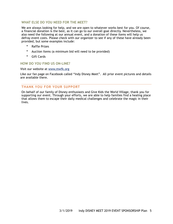#### **WHAT ELSE DO YOU NEED FOR THE MEET?**

We are always looking for help, and we are open to whatever works best for you. Of course, a financial donation is the best, as it can go to our overall goal directly. Nevertheless, we also need the following at our annual event, and a donation of these items will help us defray event costs. Please check with our organizer to see if any of these have already been provided, but some examples include:

- Raffle Prizes
- Auction Items (a minimum bid will need to be provided)
- Gift Cards

#### **HOW DO YOU FIND US ON-LINE?**

#### Visit our website at [www.mwfk.org](http://www.mwfk.org)

Like our fan page on Facebook called "Indy Disney Meet". All prior event pictures and details are available there.

#### **THANK YOU FOR YOUR SUPPORT**

On behalf of our family of Disney enthusiasts and Give Kids the World Village, thank you for supporting our event. Through your efforts, we are able to help families find a healing place that allows them to escape their daily medical challenges and celebrate the magic in their lives.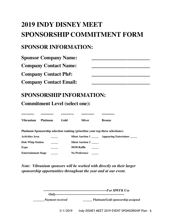# **2019 INDY DISNEY MEET SPONSORSHIP COMMITMENT FORM**

## **SPONSOR INFORMATION:**

| <b>Sponsor Company Name:</b>  |  |
|-------------------------------|--|
| <b>Company Contact Name:</b>  |  |
| <b>Company Contact Ph#:</b>   |  |
| <b>Company Contact Email:</b> |  |

## **SPONSORSHIP INFORMATION:**

**\_\_\_\_\_ \_\_\_\_\_ \_\_\_\_\_ \_\_\_\_\_ \_\_\_\_\_**

**Commitment Level (select one):**

| Vibranium                                                                      | <b>Platinum</b> | Gold | <b>Silver</b>           |  | <b>Bronze</b>                                         |  |  |
|--------------------------------------------------------------------------------|-----------------|------|-------------------------|--|-------------------------------------------------------|--|--|
| Platinum Sponsorship selection ranking (prioritize your top three selections): |                 |      |                         |  |                                                       |  |  |
| Activities Area                                                                |                 |      |                         |  | Silent Auction 1 ________ Appearing Entertainer _____ |  |  |
| <b>Dole Whip Station</b>                                                       |                 |      | <b>Silent Auction 2</b> |  |                                                       |  |  |
| Expo                                                                           |                 |      | <b>50/50 Raffle</b>     |  |                                                       |  |  |
| <b>Entertainment Stage</b>                                                     |                 |      | No Preference           |  |                                                       |  |  |

*Note: Vibranium sponsors will be worked with directly on their larger sponsorship opportunities throughout the year and at our event.*

| <b>Payment received</b> | Platinum/Gold sponsorship assigned |  |  |
|-------------------------|------------------------------------|--|--|

3/1/2019 Indy DISNEY MEET 2019 EVENT SPONSORSHIP Plan 6